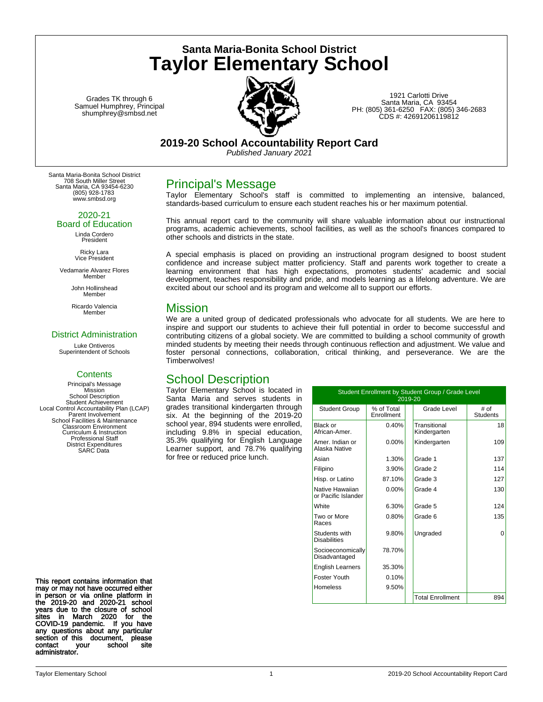**Santa Maria-Bonita School District Taylor Elementary School**

Grades TK through 6 Samuel Humphrey, Principal shumphrey@smbsd.net



1921 Carlotti Drive Santa Maria, CA 93454 PH: (805) 361-6250 FAX: (805) 346-2683 CDS #: 42691206119812

### **2019-20 School Accountability Report Card**

*Published January 2021*

Santa Maria-Bonita School District 708 South Miller Street Santa Maria, CA 93454-6230 (805) 928-1783 www.smbsd.org

2020-21

Board of Education Linda Cordero President

> Ricky Lara Vice President

Vedamarie Alvarez Flores Member

> John Hollinshead Member

Ricardo Valencia Member

### District Administration

Luke Ontiveros Superintendent of Schools

### **Contents**

Principal's Message **Mission** School Description Student Achievement Local Control Accountability Plan (LCAP) Parent Involvement School Facilities & Maintenance Classroom Environment Curriculum & Instruction Professional Staff District Expenditures SARC Data

Principal's Message

Taylor Elementary School's staff is committed to implementing an intensive, balanced, standards-based curriculum to ensure each student reaches his or her maximum potential.

This annual report card to the community will share valuable information about our instructional programs, academic achievements, school facilities, as well as the school's finances compared to other schools and districts in the state.

A special emphasis is placed on providing an instructional program designed to boost student confidence and increase subject matter proficiency. Staff and parents work together to create a learning environment that has high expectations, promotes students' academic and social development, teaches responsibility and pride, and models learning as a lifelong adventure. We are excited about our school and its program and welcome all to support our efforts.

### Mission

We are a united group of dedicated professionals who advocate for all students. We are here to inspire and support our students to achieve their full potential in order to become successful and contributing citizens of a global society. We are committed to building a school community of growth minded students by meeting their needs through continuous reflection and adjustment. We value and foster personal connections, collaboration, critical thinking, and perseverance. We are the Timberwolves!

## School Description

Taylor Elementary School is located in Santa Maria and serves students in grades transitional kindergarten through six. At the beginning of the 2019-20 school year, 894 students were enrolled, including 9.8% in special education, 35.3% qualifying for English Language Learner support, and 78.7% qualifying for free or reduced price lunch.

| Student Enrollment by Student Group / Grade Level<br>2019-20 |                          |  |                              |                         |  |
|--------------------------------------------------------------|--------------------------|--|------------------------------|-------------------------|--|
| <b>Student Group</b>                                         | % of Total<br>Enrollment |  | Grade Level                  | # of<br><b>Students</b> |  |
| Black or<br>African-Amer.                                    | 0.40%                    |  | Transitional<br>Kindergarten | 18                      |  |
| Amer. Indian or<br>Alaska Native                             | 0.00%                    |  | Kindergarten                 | 109                     |  |
| Asian                                                        | 1.30%                    |  | Grade 1                      | 137                     |  |
| Filipino                                                     | 3.90%                    |  | Grade 2                      | 114                     |  |
| Hisp. or Latino                                              | 87.10%                   |  | Grade 3                      | 127                     |  |
| Native Hawaiian<br>or Pacific Islander                       | $0.00\%$                 |  | Grade 4                      | 130                     |  |
| White                                                        | 6.30%                    |  | Grade 5                      | 124                     |  |
| Two or More<br>Races                                         | 0.80%                    |  | Grade 6                      | 135                     |  |
| Students with<br><b>Disabilities</b>                         | 9.80%                    |  | Ungraded                     | $\Omega$                |  |
| Socioeconomically<br>Disadvantaged                           | 78.70%                   |  |                              |                         |  |
| <b>English Learners</b>                                      | 35.30%                   |  |                              |                         |  |
| Foster Youth                                                 | 0.10%                    |  |                              |                         |  |
| <b>Homeless</b>                                              | 9.50%                    |  |                              |                         |  |
|                                                              |                          |  | <b>Total Enrollment</b>      | 894                     |  |

This report contains information that may or may not have occurred either in person or via online platform in the 2019-20 and 2020-21 school years due to the closure of school sites in March 2020 for the COVID-19 pandemic. If you have any questions about any particular section of this document, please contact your school site administrator.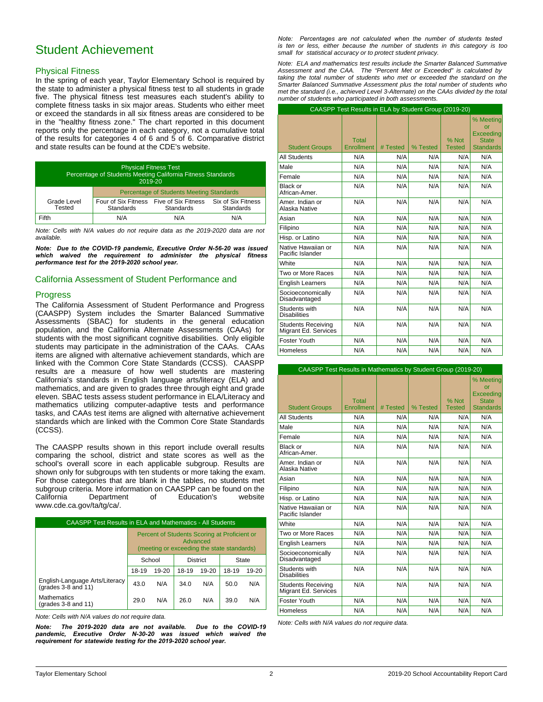## Student Achievement

#### Physical Fitness

In the spring of each year, Taylor Elementary School is required by the state to administer a physical fitness test to all students in grade five. The physical fitness test measures each student's ability to complete fitness tasks in six major areas. Students who either meet or exceed the standards in all six fitness areas are considered to be in the "healthy fitness zone." The chart reported in this document reports only the percentage in each category, not a cumulative total of the results for categories 4 of 6 and 5 of 6. Comparative district and state results can be found at the CDE's website.

| <b>Physical Fitness Test</b><br>Percentage of Students Meeting California Fitness Standards<br>2019-20 |                                                 |                                  |                                 |  |
|--------------------------------------------------------------------------------------------------------|-------------------------------------------------|----------------------------------|---------------------------------|--|
|                                                                                                        | <b>Percentage of Students Meeting Standards</b> |                                  |                                 |  |
| Grade Level<br>Tested                                                                                  | Four of Six Fitness<br>Standards                | Five of Six Fitness<br>Standards | Six of Six Fitness<br>Standards |  |
| Fifth                                                                                                  | N/A                                             | N/A                              | N/A                             |  |

*Note: Cells with N/A values do not require data as the 2019-2020 data are not available.*

*Note: Due to the COVID-19 pandemic, Executive Order N-56-20 was issued which waived the requirement to administer the physical fitness performance test for the 2019-2020 school year.*

### California Assessment of Student Performance and

### **Progress**

The California Assessment of Student Performance and Progress (CAASPP) System includes the Smarter Balanced Summative Assessments (SBAC) for students in the general education population, and the California Alternate Assessments (CAAs) for students with the most significant cognitive disabilities. Only eligible students may participate in the administration of the CAAs. CAAs items are aligned with alternative achievement standards, which are linked with the Common Core State Standards (CCSS). CAASPP results are a measure of how well students are mastering California's standards in English language arts/literacy (ELA) and mathematics, and are given to grades three through eight and grade eleven. SBAC tests assess student performance in ELA/Literacy and mathematics utilizing computer-adaptive tests and performance tasks, and CAAs test items are aligned with alternative achievement standards which are linked with the Common Core State Standards (CCSS).

The CAASPP results shown in this report include overall results comparing the school, district and state scores as well as the school's overall score in each applicable subgroup. Results are shown only for subgroups with ten students or more taking the exam. For those categories that are blank in the tables, no students met subgroup criteria. More information on CAASPP can be found on the California Department of Education's website www.cde.ca.gov/ta/tg/ca/.

| <b>CAASPP Test Results in ELA and Mathematics - All Students</b> |                                                                                                        |           |                 |           |       |           |  |
|------------------------------------------------------------------|--------------------------------------------------------------------------------------------------------|-----------|-----------------|-----------|-------|-----------|--|
|                                                                  | Percent of Students Scoring at Proficient or<br>Advanced<br>(meeting or exceeding the state standards) |           |                 |           |       |           |  |
|                                                                  | School                                                                                                 |           | <b>District</b> |           | State |           |  |
|                                                                  | 18-19                                                                                                  | $19 - 20$ | 18-19           | $19 - 20$ | 18-19 | $19 - 20$ |  |
| English-Language Arts/Literacy<br>(grades 3-8 and 11)            | 43.0                                                                                                   | N/A       | 34.0            | N/A       | 50.0  | N/A       |  |
| <b>Mathematics</b><br>(grades 3-8 and 11)                        | N/A<br>N/A<br>N/A<br>29.0<br>26.0<br>39.0                                                              |           |                 |           |       |           |  |

*Note: Cells with N/A values do not require data.*

*Note: The 2019-2020 data are not available. Due to the COVID-19*  pandemic, Executive Order N-30-20 was issued which waived the *requirement for statewide testing for the 2019-2020 school year.*

*Note: Percentages are not calculated when the number of students tested is ten or less, either because the number of students in this category is too small for statistical accuracy or to protect student privacy.*

*Note: ELA and mathematics test results include the Smarter Balanced Summative Assessment and the CAA. The "Percent Met or Exceeded" is calculated by taking the total number of students who met or exceeded the standard on the Smarter Balanced Summative Assessment plus the total number of students who met the standard (i.e., achieved Level 3-Alternate) on the CAAs divided by the total number of students who participated in both assessments.*

|                                                   | CAASPP Test Results in ELA by Student Group (2019-20) |          |          |               |                                              |
|---------------------------------------------------|-------------------------------------------------------|----------|----------|---------------|----------------------------------------------|
|                                                   | Total                                                 |          |          | % Not         | % Meeting<br>or<br>Exceeding<br><b>State</b> |
| <b>Student Groups</b>                             | Enrollment                                            | # Tested | % Tested | <b>Tested</b> | <b>Standards</b>                             |
| <b>All Students</b>                               | N/A                                                   | N/A      | N/A      | N/A           | N/A                                          |
| Male                                              | N/A                                                   | N/A      | N/A      | N/A           | N/A                                          |
| Female                                            | N/A                                                   | N/A      | N/A      | N/A           | N/A                                          |
| Black or<br>African-Amer.                         | N/A                                                   | N/A      | N/A      | N/A           | N/A                                          |
| Amer. Indian or<br>Alaska Native                  | N/A                                                   | N/A      | N/A      | N/A           | N/A                                          |
| Asian                                             | N/A                                                   | N/A      | N/A      | N/A           | N/A                                          |
| Filipino                                          | N/A                                                   | N/A      | N/A      | N/A           | N/A                                          |
| Hisp. or Latino                                   | N/A                                                   | N/A      | N/A      | N/A           | N/A                                          |
| Native Hawaiian or<br>Pacific Islander            | N/A                                                   | N/A      | N/A      | N/A           | N/A                                          |
| White                                             | N/A                                                   | N/A      | N/A      | N/A           | N/A                                          |
| Two or More Races                                 | N/A                                                   | N/A      | N/A      | N/A           | N/A                                          |
| <b>English Learners</b>                           | N/A                                                   | N/A      | N/A      | N/A           | N/A                                          |
| Socioeconomically<br>Disadvantaged                | N/A                                                   | N/A      | N/A      | N/A           | N/A                                          |
| Students with<br><b>Disabilities</b>              | N/A                                                   | N/A      | N/A      | N/A           | N/A                                          |
| <b>Students Receiving</b><br>Migrant Ed. Services | N/A                                                   | N/A      | N/A      | N/A           | N/A                                          |
| Foster Youth                                      | N/A                                                   | N/A      | N/A      | N/A           | N/A                                          |
| <b>Homeless</b>                                   | N/A                                                   | N/A      | N/A      | N/A           | N/A                                          |

| <b>CAASPP Test Results in Mathematics by Student Group (2019-20)</b> |                     |          |          |                        |                                                                  |
|----------------------------------------------------------------------|---------------------|----------|----------|------------------------|------------------------------------------------------------------|
| <b>Student Groups</b>                                                | Total<br>Enrollment | # Tested | % Tested | % Not<br><b>Tested</b> | % Meetina<br>nr<br>Exceeding<br><b>State</b><br><b>Standards</b> |
| <b>All Students</b>                                                  | N/A                 | N/A      | N/A      | N/A                    | N/A                                                              |
| Male                                                                 | N/A                 | N/A      | N/A      | N/A                    | N/A                                                              |
| Female                                                               | N/A                 | N/A      | N/A      | N/A                    | N/A                                                              |
| Black or<br>African-Amer.                                            | N/A                 | N/A      | N/A      | N/A                    | N/A                                                              |
| Amer, Indian or<br>Alaska Native                                     | N/A                 | N/A      | N/A      | N/A                    | N/A                                                              |
| Asian                                                                | N/A                 | N/A      | N/A      | N/A                    | N/A                                                              |
| Filipino                                                             | N/A                 | N/A      | N/A      | N/A                    | N/A                                                              |
| Hisp. or Latino                                                      | N/A                 | N/A      | N/A      | N/A                    | N/A                                                              |
| Native Hawaiian or<br>Pacific Islander                               | N/A                 | N/A      | N/A      | N/A                    | N/A                                                              |
| White                                                                | N/A                 | N/A      | N/A      | N/A                    | N/A                                                              |
| Two or More Races                                                    | N/A                 | N/A      | N/A      | N/A                    | N/A                                                              |
| <b>English Learners</b>                                              | N/A                 | N/A      | N/A      | N/A                    | N/A                                                              |
| Socioeconomically<br>Disadvantaged                                   | N/A                 | N/A      | N/A      | N/A                    | N/A                                                              |
| Students with<br><b>Disabilities</b>                                 | N/A                 | N/A      | N/A      | N/A                    | N/A                                                              |
| <b>Students Receiving</b><br>Migrant Ed. Services                    | N/A                 | N/A      | N/A      | N/A                    | N/A                                                              |
| Foster Youth                                                         | N/A                 | N/A      | N/A      | N/A                    | N/A                                                              |
| Homeless                                                             | N/A                 | N/A      | N/A      | N/A                    | N/A                                                              |

*Note: Cells with N/A values do not require data.*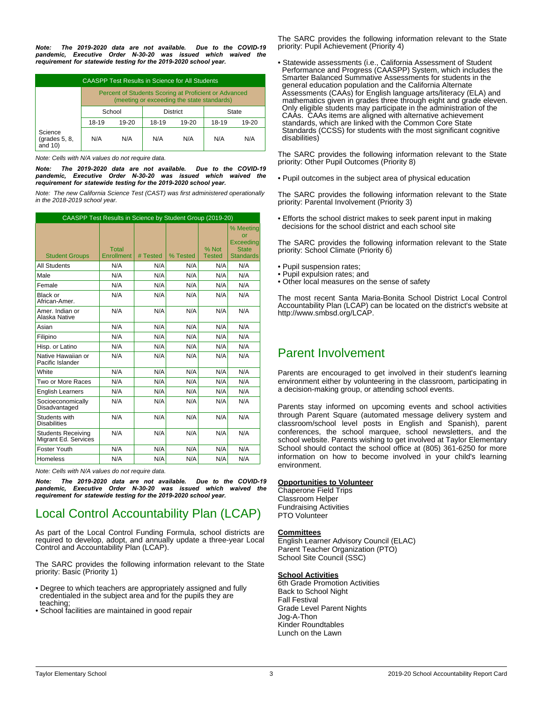*Note: The 2019-2020 data are not available. Due to the COVID-19 pandemic, Executive Order N-30-20 was issued which waived the requirement for statewide testing for the 2019-2020 school year.*

| CAASPP Test Results in Science for All Students |                                                                                                     |       |       |       |       |       |
|-------------------------------------------------|-----------------------------------------------------------------------------------------------------|-------|-------|-------|-------|-------|
|                                                 | Percent of Students Scoring at Proficient or Advanced<br>(meeting or exceeding the state standards) |       |       |       |       |       |
|                                                 | School<br><b>District</b><br>State                                                                  |       |       |       |       |       |
|                                                 | 18-19                                                                                               | 19-20 | 18-19 | 19-20 | 18-19 | 19-20 |
| Science<br>$\left($ grades 5, 8,<br>and $10$ )  | N/A                                                                                                 | N/A   | N/A   | N/A   | N/A   | N/A   |

*Note: Cells with N/A values do not require data.*

*Note: The 2019-2020 data are not available. Due to the COVID-19*  pandemic, Executive Order N-30-20 was issued which waived the *requirement for statewide testing for the 2019-2020 school year.*

*Note: The new California Science Test (CAST) was first administered operationally in the 2018-2019 school year.*

| CAASPP Test Results in Science by Student Group (2019-20) |                            |          |          |                        |                                                                  |
|-----------------------------------------------------------|----------------------------|----------|----------|------------------------|------------------------------------------------------------------|
| <b>Student Groups</b>                                     | <b>Total</b><br>Enrollment | # Tested | % Tested | % Not<br><b>Tested</b> | % Meeting<br>or<br>Exceeding<br><b>State</b><br><b>Standards</b> |
| <b>All Students</b>                                       | N/A                        | N/A      | N/A      | N/A                    | N/A                                                              |
| Male                                                      | N/A                        | N/A      | N/A      | N/A                    | N/A                                                              |
| Female                                                    | N/A                        | N/A      | N/A      | N/A                    | N/A                                                              |
| Black or<br>African-Amer.                                 | N/A                        | N/A      | N/A      | N/A                    | N/A                                                              |
| Amer, Indian or<br>Alaska Native                          | N/A                        | N/A      | N/A      | N/A                    | N/A                                                              |
| Asian                                                     | N/A                        | N/A      | N/A      | N/A                    | N/A                                                              |
| Filipino                                                  | N/A                        | N/A      | N/A      | N/A                    | N/A                                                              |
| Hisp. or Latino                                           | N/A                        | N/A      | N/A      | N/A                    | N/A                                                              |
| Native Hawaiian or<br>Pacific Islander                    | N/A                        | N/A      | N/A      | N/A                    | N/A                                                              |
| White                                                     | N/A                        | N/A      | N/A      | N/A                    | N/A                                                              |
| Two or More Races                                         | N/A                        | N/A      | N/A      | N/A                    | N/A                                                              |
| <b>English Learners</b>                                   | N/A                        | N/A      | N/A      | N/A                    | N/A                                                              |
| Socioeconomically<br>Disadvantaged                        | N/A                        | N/A      | N/A      | N/A                    | N/A                                                              |
| Students with<br><b>Disabilities</b>                      | N/A                        | N/A      | N/A      | N/A                    | N/A                                                              |
| <b>Students Receiving</b><br>Migrant Ed. Services         | N/A                        | N/A      | N/A      | N/A                    | N/A                                                              |
| Foster Youth                                              | N/A                        | N/A      | N/A      | N/A                    | N/A                                                              |
| <b>Homeless</b>                                           | N/A                        | N/A      | N/A      | N/A                    | N/A                                                              |

*Note: Cells with N/A values do not require data.*

*Note: The 2019-2020 data are not available. Due to the COVID-19 pandemic, Executive Order N-30-20 was issued which waived the requirement for statewide testing for the 2019-2020 school year.*

# Local Control Accountability Plan (LCAP)

As part of the Local Control Funding Formula, school districts are required to develop, adopt, and annually update a three-year Local Control and Accountability Plan (LCAP).

The SARC provides the following information relevant to the State priority: Basic (Priority 1)

- Degree to which teachers are appropriately assigned and fully credentialed in the subject area and for the pupils they are teaching;
- School facilities are maintained in good repair

The SARC provides the following information relevant to the State priority: Pupil Achievement (Priority 4)

• Statewide assessments (i.e., California Assessment of Student Performance and Progress (CAASPP) System, which includes the Smarter Balanced Summative Assessments for students in the general education population and the California Alternate Assessments (CAAs) for English language arts/literacy (ELA) and mathematics given in grades three through eight and grade eleven. Only eligible students may participate in the administration of the CAAs. CAAs items are aligned with alternative achievement standards, which are linked with the Common Core State Standards (CCSS) for students with the most significant cognitive disabilities)

The SARC provides the following information relevant to the State priority: Other Pupil Outcomes (Priority 8)

• Pupil outcomes in the subject area of physical education

The SARC provides the following information relevant to the State priority: Parental Involvement (Priority 3)

• Efforts the school district makes to seek parent input in making decisions for the school district and each school site

The SARC provides the following information relevant to the State priority: School Climate (Priority 6)

- Pupil suspension rates;
- Pupil expulsion rates; and
- Other local measures on the sense of safety

The most recent Santa Maria-Bonita School District Local Control Accountability Plan (LCAP) can be located on the district's website at http://www.smbsd.org/LCAP.

## Parent Involvement

Parents are encouraged to get involved in their student's learning environment either by volunteering in the classroom, participating in a decision-making group, or attending school events.

Parents stay informed on upcoming events and school activities through Parent Square (automated message delivery system and classroom/school level posts in English and Spanish), parent conferences, the school marquee, school newsletters, and the school website. Parents wishing to get involved at Taylor Elementary School should contact the school office at (805) 361-6250 for more information on how to become involved in your child's learning environment.

#### **Opportunities to Volunteer**

Chaperone Field Trips Classroom Helper Fundraising Activities PTO Volunteer

#### **Committees**

English Learner Advisory Council (ELAC) Parent Teacher Organization (PTO) School Site Council (SSC)

#### **School Activities**

6th Grade Promotion Activities Back to School Night Fall Festival Grade Level Parent Nights Jog-A-Thon Kinder Roundtables Lunch on the Lawn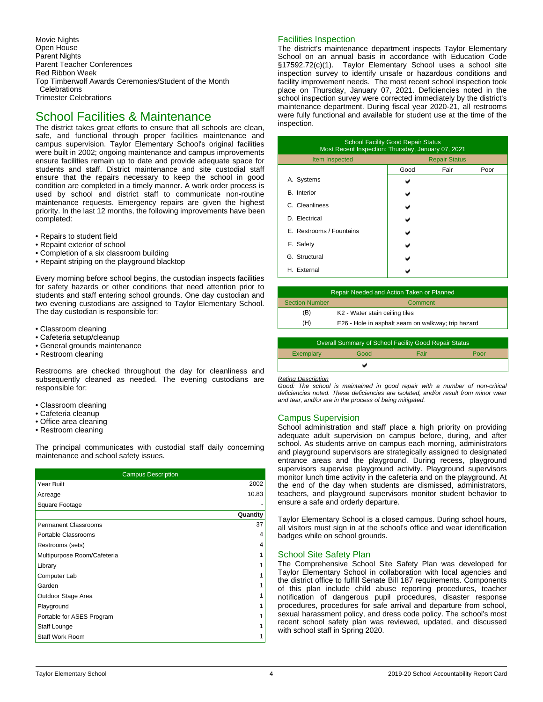Movie Nights Open House Parent Nights Parent Teacher Conferences Red Ribbon Week Top Timberwolf Awards Ceremonies/Student of the Month **Celebrations** Trimester Celebrations

### School Facilities & Maintenance

The district takes great efforts to ensure that all schools are clean, safe, and functional through proper facilities maintenance and campus supervision. Taylor Elementary School's original facilities were built in 2002; ongoing maintenance and campus improvements ensure facilities remain up to date and provide adequate space for students and staff. District maintenance and site custodial staff ensure that the repairs necessary to keep the school in good condition are completed in a timely manner. A work order process is used by school and district staff to communicate non-routine maintenance requests. Emergency repairs are given the highest priority. In the last 12 months, the following improvements have been completed:

- Repairs to student field
- Repaint exterior of school
- Completion of a six classroom building
- Repaint striping on the playground blacktop

Every morning before school begins, the custodian inspects facilities for safety hazards or other conditions that need attention prior to students and staff entering school grounds. One day custodian and two evening custodians are assigned to Taylor Elementary School. The day custodian is responsible for:

- Classroom cleaning
- Cafeteria setup/cleanup
- General grounds maintenance
- Restroom cleaning

Restrooms are checked throughout the day for cleanliness and subsequently cleaned as needed. The evening custodians are responsible for:

- Classroom cleaning
- Cafeteria cleanup
- Office area cleaning
- Restroom cleaning

The principal communicates with custodial staff daily concerning maintenance and school safety issues.

| <b>Campus Description</b>   |          |
|-----------------------------|----------|
| Year Built                  | 2002     |
| Acreage                     | 10.83    |
| Square Footage              |          |
|                             | Quantity |
| <b>Permanent Classrooms</b> | 37       |
| Portable Classrooms         | 4        |
| Restrooms (sets)            | 4        |
| Multipurpose Room/Cafeteria | 1        |
| Library                     | 1        |
| Computer Lab                |          |
| Garden                      | 1        |
| Outdoor Stage Area          | 1        |
| Playground                  | 1        |
| Portable for ASES Program   |          |
| Staff Lounge                |          |
| <b>Staff Work Room</b>      | 1        |

### Facilities Inspection

The district's maintenance department inspects Taylor Elementary School on an annual basis in accordance with Education Code §17592.72(c)(1). Taylor Elementary School uses a school site inspection survey to identify unsafe or hazardous conditions and facility improvement needs. The most recent school inspection took place on Thursday, January 07, 2021. Deficiencies noted in the school inspection survey were corrected immediately by the district's maintenance department. During fiscal year 2020-21, all restrooms were fully functional and available for student use at the time of the inspection.

| <b>School Facility Good Repair Status</b><br>Most Recent Inspection: Thursday, January 07, 2021 |      |      |      |  |  |
|-------------------------------------------------------------------------------------------------|------|------|------|--|--|
| Item Inspected<br><b>Repair Status</b>                                                          |      |      |      |  |  |
|                                                                                                 | Good | Fair | Poor |  |  |
| A. Systems                                                                                      |      |      |      |  |  |
| <b>B.</b> Interior                                                                              |      |      |      |  |  |
| C. Cleanliness                                                                                  |      |      |      |  |  |
| D. Electrical                                                                                   |      |      |      |  |  |
| E. Restrooms / Fountains                                                                        |      |      |      |  |  |
| F. Safety                                                                                       |      |      |      |  |  |
| G. Structural                                                                                   |      |      |      |  |  |
| H. External                                                                                     |      |      |      |  |  |

| Repair Needed and Action Taken or Planned |                                                    |  |  |
|-------------------------------------------|----------------------------------------------------|--|--|
| <b>Section Number</b>                     | Comment                                            |  |  |
| (B)                                       | K2 - Water stain ceiling tiles                     |  |  |
| (H)                                       | E26 - Hole in asphalt seam on walkway; trip hazard |  |  |
|                                           |                                                    |  |  |

| <b>Overall Summary of School Facility Good Repair Status</b> |      |      |      |  |  |
|--------------------------------------------------------------|------|------|------|--|--|
| Exemplary                                                    | Good | Fair | Poor |  |  |
|                                                              |      |      |      |  |  |

#### *Rating Description*

*Good: The school is maintained in good repair with a number of non-critical deficiencies noted. These deficiencies are isolated, and/or result from minor wear and tear, and/or are in the process of being mitigated.*

#### Campus Supervision

School administration and staff place a high priority on providing adequate adult supervision on campus before, during, and after school. As students arrive on campus each morning, administrators and playground supervisors are strategically assigned to designated entrance areas and the playground. During recess, playground supervisors supervise playground activity. Playground supervisors monitor lunch time activity in the cafeteria and on the playground. At the end of the day when students are dismissed, administrators, teachers, and playground supervisors monitor student behavior to ensure a safe and orderly departure.

Taylor Elementary School is a closed campus. During school hours, all visitors must sign in at the school's office and wear identification badges while on school grounds.

#### School Site Safety Plan

The Comprehensive School Site Safety Plan was developed for Taylor Elementary School in collaboration with local agencies and the district office to fulfill Senate Bill 187 requirements. Components of this plan include child abuse reporting procedures, teacher notification of dangerous pupil procedures, disaster response procedures, procedures for safe arrival and departure from school, sexual harassment policy, and dress code policy. The school's most recent school safety plan was reviewed, updated, and discussed with school staff in Spring 2020.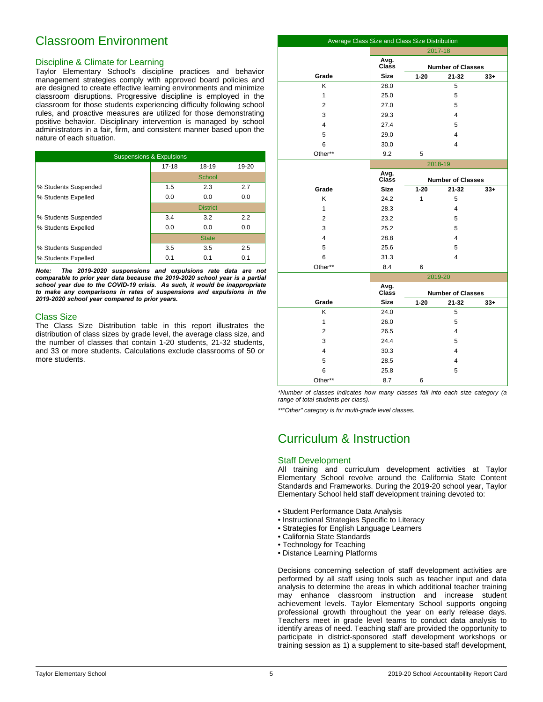## Classroom Environment

### Discipline & Climate for Learning

Taylor Elementary School's discipline practices and behavior management strategies comply with approved board policies and are designed to create effective learning environments and minimize classroom disruptions. Progressive discipline is employed in the classroom for those students experiencing difficulty following school rules, and proactive measures are utilized for those demonstrating positive behavior. Disciplinary intervention is managed by school administrators in a fair, firm, and consistent manner based upon the nature of each situation.

| <b>Suspensions &amp; Expulsions</b> |           |                 |       |  |  |
|-------------------------------------|-----------|-----------------|-------|--|--|
|                                     | $17 - 18$ | 18-19           | 19-20 |  |  |
|                                     |           | School          |       |  |  |
| % Students Suspended                | 1.5       | 2.3             | 2.7   |  |  |
| % Students Expelled                 | 0.0       | 0.0             | 0.0   |  |  |
|                                     |           | <b>District</b> |       |  |  |
| % Students Suspended                | 3.4       | 3.2             | 2.2   |  |  |
| % Students Expelled                 | 0.0       | 0.0             | 0.0   |  |  |
|                                     |           | <b>State</b>    |       |  |  |
| % Students Suspended                | 3.5       | 3.5             | 2.5   |  |  |
| % Students Expelled                 | 0.1       | 0.1             | 0.1   |  |  |

*Note: The 2019-2020 suspensions and expulsions rate data are not comparable to prior year data because the 2019-2020 school year is a partial school year due to the COVID-19 crisis. As such, it would be inappropriate to make any comparisons in rates of suspensions and expulsions in the 2019-2020 school year compared to prior years.*

#### Class Size

The Class Size Distribution table in this report illustrates the distribution of class sizes by grade level, the average class size, and the number of classes that contain 1-20 students, 21-32 students, and 33 or more students. Calculations exclude classrooms of 50 or more students.

| Average Class Size and Class Size Distribution |                                           |                          |                         |       |
|------------------------------------------------|-------------------------------------------|--------------------------|-------------------------|-------|
|                                                | 2017-18                                   |                          |                         |       |
|                                                | Avg.<br>Class                             | <b>Number of Classes</b> |                         |       |
| Grade                                          | <b>Size</b>                               | $1 - 20$                 | $21 - 32$               | $33+$ |
| Κ                                              | 28.0                                      |                          | 5                       |       |
| 1                                              | 25.0                                      |                          | 5                       |       |
| $\overline{2}$                                 | 27.0                                      |                          | 5                       |       |
| 3                                              | 29.3                                      |                          | 4                       |       |
| 4                                              | 27.4                                      |                          | 5                       |       |
| 5                                              | 29.0                                      |                          | 4                       |       |
| 6                                              | 30.0                                      |                          | 4                       |       |
| Other**                                        | 9.2                                       | 5                        |                         |       |
|                                                | 2018-19                                   |                          |                         |       |
|                                                | Avg.<br>Class<br><b>Number of Classes</b> |                          |                         |       |
| Grade                                          | <b>Size</b>                               | $1 - 20$                 | $21 - 32$               | $33+$ |
| K                                              | 24.2                                      | 1                        | 5                       |       |
| $\mathbf{1}$                                   | 28.3                                      |                          | 4                       |       |
| 2                                              | 23.2                                      |                          | 5                       |       |
| 3                                              | 25.2                                      |                          | 5                       |       |
| 4                                              | 28.8                                      |                          | 4                       |       |
| 5                                              | 25.6                                      |                          | 5                       |       |
| 6                                              | 31.3                                      |                          | 4                       |       |
| Other**                                        | 8.4                                       | 6                        |                         |       |
|                                                |                                           |                          | 2019-20                 |       |
|                                                | Avg.<br>Class<br><b>Number of Classes</b> |                          |                         |       |
| Grade                                          | <b>Size</b>                               | $1 - 20$                 | $21 - 32$               | $33+$ |
| Κ                                              | 24.0                                      |                          | 5                       |       |
| $\mathbf{1}$                                   | 26.0                                      |                          | 5                       |       |
| 2                                              | 26.5                                      |                          | $\overline{\mathbf{4}}$ |       |
| 3                                              | 24.4                                      |                          | 5                       |       |
| 4                                              | 30.3                                      |                          | 4                       |       |
| 5                                              | 28.5                                      |                          | 4                       |       |
| 6                                              | 25.8                                      |                          | 5                       |       |
| Other**                                        | 8.7                                       | 6                        |                         |       |

*\*Number of classes indicates how many classes fall into each size category (a range of total students per class).*

*\*\*"Other" category is for multi-grade level classes.*

## Curriculum & Instruction

#### Staff Development

All training and curriculum development activities at Taylor Elementary School revolve around the California State Content Standards and Frameworks. During the 2019-20 school year, Taylor Elementary School held staff development training devoted to:

- Student Performance Data Analysis
- Instructional Strategies Specific to Literacy
- Strategies for English Language Learners
- California State Standards
- Technology for Teaching
- Distance Learning Platforms

Decisions concerning selection of staff development activities are performed by all staff using tools such as teacher input and data analysis to determine the areas in which additional teacher training may enhance classroom instruction and increase student achievement levels. Taylor Elementary School supports ongoing professional growth throughout the year on early release days. Teachers meet in grade level teams to conduct data analysis to identify areas of need. Teaching staff are provided the opportunity to participate in district-sponsored staff development workshops or training session as 1) a supplement to site-based staff development,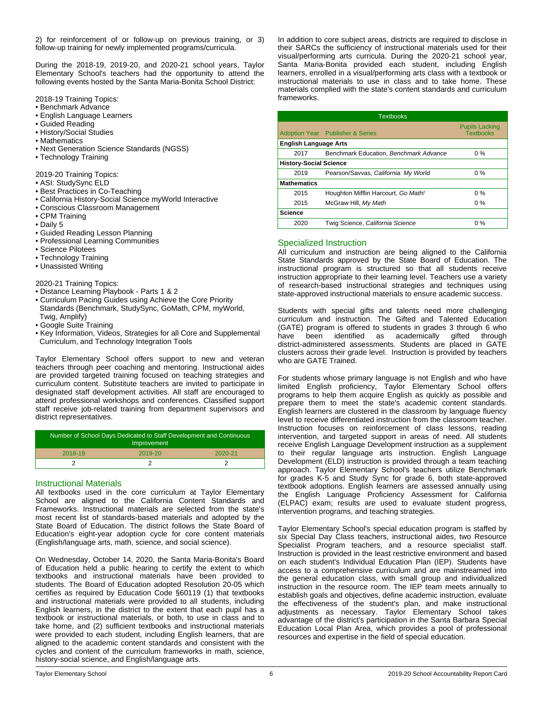2) for reinforcement of or follow-up on previous training, or 3) follow-up training for newly implemented programs/curricula.

During the 2018-19, 2019-20, and 2020-21 school years, Taylor Elementary School's teachers had the opportunity to attend the following events hosted by the Santa Maria-Bonita School District:

2018-19 Training Topics:

- Benchmark Advance
- English Language Learners
- Guided Reading
- History/Social Studies
- Mathematics
- Next Generation Science Standards (NGSS)
- Technology Training
- 
- 2019-20 Training Topics: • ASI: StudySync ELD
- 
- Best Practices in Co-Teaching
- California History-Social Science myWorld Interactive
- Conscious Classroom Management • CPM Training
- 
- Daily 5
- Guided Reading Lesson Planning • Professional Learning Communities
- Science Pilotees
- Technology Training
- Unassisted Writing

#### 2020-21 Training Topics:

- Distance Learning Playbook Parts 1 & 2
- Curriculum Pacing Guides using Achieve the Core Priority Standards (Benchmark, StudySync, GoMath, CPM, myWorld, Twig, Amplify)
- Google Suite Training
- Key Information, Videos, Strategies for all Core and Supplemental Curriculum, and Technology Integration Tools

Taylor Elementary School offers support to new and veteran teachers through peer coaching and mentoring. Instructional aides are provided targeted training focused on teaching strategies and curriculum content. Substitute teachers are invited to participate in designated staff development activities. All staff are encouraged to attend professional workshops and conferences. Classified support staff receive job-related training from department supervisors and district representatives.

| Number of School Days Dedicated to Staff Development and Continuous<br>Improvement |         |         |  |  |
|------------------------------------------------------------------------------------|---------|---------|--|--|
| 2018-19                                                                            | 2019-20 | 2020-21 |  |  |
|                                                                                    |         |         |  |  |

#### Instructional Materials

All textbooks used in the core curriculum at Taylor Elementary School are aligned to the California Content Standards and Frameworks. Instructional materials are selected from the state's most recent list of standards-based materials and adopted by the State Board of Education. The district follows the State Board of Education's eight-year adoption cycle for core content materials (English/language arts, math, science, and social science).

On Wednesday, October 14, 2020, the Santa Maria-Bonita's Board of Education held a public hearing to certify the extent to which textbooks and instructional materials have been provided to students. The Board of Education adopted Resolution 20-05 which certifies as required by Education Code §60119 (1) that textbooks and instructional materials were provided to all students, including English learners, in the district to the extent that each pupil has a textbook or instructional materials, or both, to use in class and to take home, and (2) sufficient textbooks and instructional materials were provided to each student, including English learners, that are aligned to the academic content standards and consistent with the cycles and content of the curriculum frameworks in math, science, history-social science, and English/language arts.

In addition to core subject areas, districts are required to disclose in their SARCs the sufficiency of instructional materials used for their visual/performing arts curricula. During the 2020-21 school year, Santa Maria-Bonita provided each student, including English learners, enrolled in a visual/performing arts class with a textbook or instructional materials to use in class and to take home. These materials complied with the state's content standards and curriculum frameworks.

| <b>Textbooks</b>             |                                         |                                           |  |  |  |
|------------------------------|-----------------------------------------|-------------------------------------------|--|--|--|
|                              | <b>Adoption Year</b> Publisher & Series | <b>Pupils Lacking</b><br><b>Textbooks</b> |  |  |  |
| <b>English Language Arts</b> |                                         |                                           |  |  |  |
| 2017                         | Benchmark Education, Benchmark Advance  | $0\%$                                     |  |  |  |
|                              | <b>History-Social Science</b>           |                                           |  |  |  |
| 2019                         | Pearson/Savvas, California: My World    | $0\%$                                     |  |  |  |
| <b>Mathematics</b>           |                                         |                                           |  |  |  |
| 2015                         | Houghton Mifflin Harcourt, Go Math!     | $0\%$                                     |  |  |  |
| 2015                         | McGraw Hill, My Math                    | $0\%$                                     |  |  |  |
| <b>Science</b>               |                                         |                                           |  |  |  |
| 2020                         | Twig Science, California Science        | $0\%$                                     |  |  |  |

#### Specialized Instruction

All curriculum and instruction are being aligned to the California State Standards approved by the State Board of Education. The instructional program is structured so that all students receive instruction appropriate to their learning level. Teachers use a variety of research-based instructional strategies and techniques using state-approved instructional materials to ensure academic success.

Students with special gifts and talents need more challenging curriculum and instruction. The Gifted and Talented Education (GATE) program is offered to students in grades 3 through 6 who have been identified as academically gifted through district-administered assessments. Students are placed in GATE clusters across their grade level. Instruction is provided by teachers who are GATE Trained.

For students whose primary language is not English and who have limited English proficiency, Taylor Elementary School offers programs to help them acquire English as quickly as possible and prepare them to meet the state's academic content standards. English learners are clustered in the classroom by language fluency level to receive differentiated instruction from the classroom teacher. Instruction focuses on reinforcement of class lessons, reading intervention, and targeted support in areas of need. All students receive English Language Development instruction as a supplement to their regular language arts instruction. English Language Development (ELD) instruction is provided through a team teaching approach. Taylor Elementary School's teachers utilize Benchmark for grades K-5 and Study Sync for grade 6, both state-approved textbook adoptions. English learners are assessed annually using the English Language Proficiency Assessment for California (ELPAC) exam; results are used to evaluate student progress, intervention programs, and teaching strategies.

Taylor Elementary School's special education program is staffed by six Special Day Class teachers, instructional aides, two Resource Specialist Program teachers, and a resource specialist staff. Instruction is provided in the least restrictive environment and based on each student's Individual Education Plan (IEP). Students have access to a comprehensive curriculum and are mainstreamed into the general education class, with small group and individualized instruction in the resource room. The IEP team meets annually to establish goals and objectives, define academic instruction, evaluate the effectiveness of the student's plan, and make instructional adjustments as necessary. Taylor Elementary School takes advantage of the district's participation in the Santa Barbara Special Education Local Plan Area, which provides a pool of professional resources and expertise in the field of special education.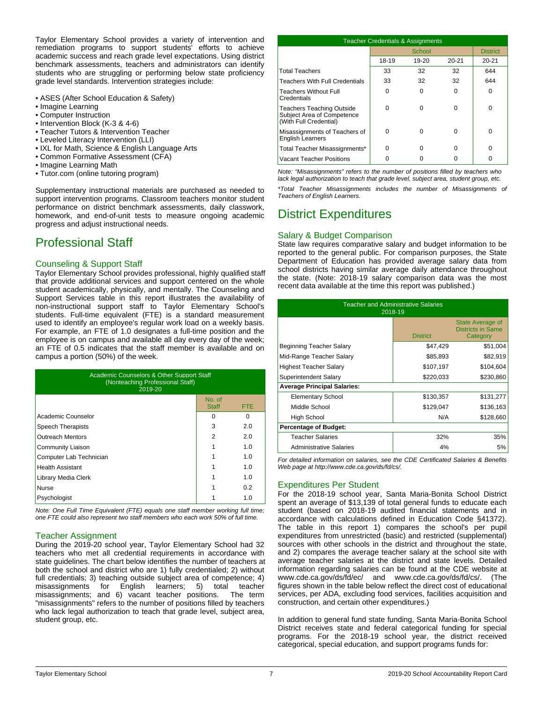Taylor Elementary School provides a variety of intervention and remediation programs to support students' efforts to achieve academic success and reach grade level expectations. Using district benchmark assessments, teachers and administrators can identify students who are struggling or performing below state proficiency grade level standards. Intervention strategies include:

- ASES (After School Education & Safety)
- Imagine Learning
- Computer Instruction
- Intervention Block (K-3 & 4-6)
- Teacher Tutors & Intervention Teacher
- Leveled Literacy Intervention (LLI)
- IXL for Math, Science & English Language Arts
- Common Formative Assessment (CFA)
- Imagine Learning Math
- Tutor.com (online tutoring program)

Supplementary instructional materials are purchased as needed to support intervention programs. Classroom teachers monitor student performance on district benchmark assessments, daily classwork, homework, and end-of-unit tests to measure ongoing academic progress and adjust instructional needs.

## Professional Staff

### Counseling & Support Staff

Taylor Elementary School provides professional, highly qualified staff that provide additional services and support centered on the whole student academically, physically, and mentally. The Counseling and Support Services table in this report illustrates the availability of non-instructional support staff to Taylor Elementary School's students. Full-time equivalent (FTE) is a standard measurement used to identify an employee's regular work load on a weekly basis. For example, an FTE of 1.0 designates a full-time position and the employee is on campus and available all day every day of the week; an FTE of 0.5 indicates that the staff member is available and on campus a portion (50%) of the week.

| <b>Academic Counselors &amp; Other Support Staff</b><br>(Nonteaching Professional Staff)<br>2019-20 |                        |      |  |  |
|-----------------------------------------------------------------------------------------------------|------------------------|------|--|--|
|                                                                                                     | No. of<br><b>Staff</b> | FTE. |  |  |
| Academic Counselor                                                                                  | O                      | 0    |  |  |
| Speech Therapists                                                                                   | 3                      | 2.0  |  |  |
| <b>Outreach Mentors</b>                                                                             | 2                      | 2.0  |  |  |
| Community Liaison                                                                                   |                        | 1.0  |  |  |
| Computer Lab Technician                                                                             |                        | 1.0  |  |  |
| <b>Health Assistant</b>                                                                             |                        | 1.0  |  |  |
| Library Media Clerk                                                                                 |                        | 1.0  |  |  |
| Nurse                                                                                               |                        | 0.2  |  |  |
| Psychologist                                                                                        |                        | 1.0  |  |  |

*Note: One Full Time Equivalent (FTE) equals one staff member working full time; one FTE could also represent two staff members who each work 50% of full time.*

#### Teacher Assignment

During the 2019-20 school year, Taylor Elementary School had 32 teachers who met all credential requirements in accordance with state guidelines. The chart below identifies the number of teachers at both the school and district who are 1) fully credentialed; 2) without full credentials; 3) teaching outside subject area of competence; 4) misassignments for English learners; 5) total teacher<br>misassignments; and 6) vacant teacher positions. The term misassignments; and 6) vacant teacher positions. "misassignments" refers to the number of positions filled by teachers who lack legal authorization to teach that grade level, subject area, student group, etc.

| <b>Teacher Credentials &amp; Assignments</b>                                             |       |           |           |                 |
|------------------------------------------------------------------------------------------|-------|-----------|-----------|-----------------|
|                                                                                          |       | School    |           | <b>District</b> |
|                                                                                          | 18-19 | $19 - 20$ | $20 - 21$ | $20 - 21$       |
| <b>Total Teachers</b>                                                                    | 33    | 32        | 32        | 644             |
| <b>Teachers With Full Credentials</b>                                                    | 33    | 32        | 32        | 644             |
| <b>Teachers Without Full</b><br>Credentials                                              | U     | 0         | $\Omega$  | O               |
| <b>Teachers Teaching Outside</b><br>Subject Area of Competence<br>(With Full Credential) | U     | U         | 0         | n               |
| Misassignments of Teachers of<br><b>English Learners</b>                                 | ŋ     | U         | 0         | n               |
| Total Teacher Misassignments*                                                            | ŋ     | 0         | 0         |                 |
| Vacant Teacher Positions                                                                 |       |           | O         |                 |

*Note: "Misassignments" refers to the number of positions filled by teachers who lack legal authorization to teach that grade level, subject area, student group, etc.*

*\*Total Teacher Misassignments includes the number of Misassignments of Teachers of English Learners.*

## District Expenditures

#### Salary & Budget Comparison

State law requires comparative salary and budget information to be reported to the general public. For comparison purposes, the State Department of Education has provided average salary data from school districts having similar average daily attendance throughout the state. (Note: 2018-19 salary comparison data was the most recent data available at the time this report was published.)

| <b>Teacher and Administrative Salaries</b><br>2018-19 |                 |                                                          |  |  |  |
|-------------------------------------------------------|-----------------|----------------------------------------------------------|--|--|--|
|                                                       | <b>District</b> | State Average of<br><b>Districts in Same</b><br>Category |  |  |  |
| Beginning Teacher Salary                              | \$47,429        | \$51,004                                                 |  |  |  |
| Mid-Range Teacher Salary                              | \$85,893        | \$82,919                                                 |  |  |  |
| <b>Highest Teacher Salary</b>                         | \$107,197       | \$104,604                                                |  |  |  |
| Superintendent Salary                                 | \$220,033       | \$230,860                                                |  |  |  |
| <b>Average Principal Salaries:</b>                    |                 |                                                          |  |  |  |
| <b>Elementary School</b>                              | \$130,357       | \$131,277                                                |  |  |  |
| Middle School                                         | \$129,047       | \$136,163                                                |  |  |  |
| High School                                           | N/A             | \$128,660                                                |  |  |  |
| <b>Percentage of Budget:</b>                          |                 |                                                          |  |  |  |
| <b>Teacher Salaries</b>                               | 32%             | 35%                                                      |  |  |  |
| <b>Administrative Salaries</b>                        | 4%              | 5%                                                       |  |  |  |

*For detailed information on salaries, see the CDE Certificated Salaries & Benefits Web page at http://www.cde.ca.gov/ds/fd/cs/.*

### Expenditures Per Student

For the 2018-19 school year, Santa Maria-Bonita School District spent an average of \$13,139 of total general funds to educate each student (based on 2018-19 audited financial statements and in accordance with calculations defined in Education Code §41372). The table in this report 1) compares the school's per pupil expenditures from unrestricted (basic) and restricted (supplemental) sources with other schools in the district and throughout the state, and 2) compares the average teacher salary at the school site with average teacher salaries at the district and state levels. Detailed information regarding salaries can be found at the CDE website at www.cde.ca.gov/ds/fd/ec/ and www.cde.ca.gov/ds/fd/cs/. (The figures shown in the table below reflect the direct cost of educational services, per ADA, excluding food services, facilities acquisition and construction, and certain other expenditures.)

In addition to general fund state funding, Santa Maria-Bonita School District receives state and federal categorical funding for special programs. For the 2018-19 school year, the district received categorical, special education, and support programs funds for: